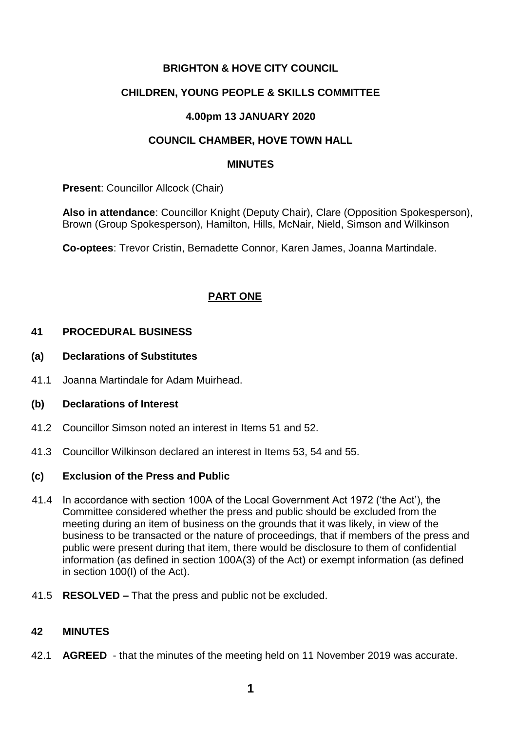## **BRIGHTON & HOVE CITY COUNCIL**

### **CHILDREN, YOUNG PEOPLE & SKILLS COMMITTEE**

### **4.00pm 13 JANUARY 2020**

### **COUNCIL CHAMBER, HOVE TOWN HALL**

#### **MINUTES**

**Present: Councillor Allcock (Chair)** 

**Also in attendance**: Councillor Knight (Deputy Chair), Clare (Opposition Spokesperson), Brown (Group Spokesperson), Hamilton, Hills, McNair, Nield, Simson and Wilkinson

**Co-optees**: Trevor Cristin, Bernadette Connor, Karen James, Joanna Martindale.

# **PART ONE**

### **41 PROCEDURAL BUSINESS**

- **(a) Declarations of Substitutes**
- 41.1 Joanna Martindale for Adam Muirhead.

### **(b) Declarations of Interest**

- 41.2 Councillor Simson noted an interest in Items 51 and 52.
- 41.3 Councillor Wilkinson declared an interest in Items 53, 54 and 55.

#### **(c) Exclusion of the Press and Public**

- 41.4 In accordance with section 100A of the Local Government Act 1972 ('the Act'), the Committee considered whether the press and public should be excluded from the meeting during an item of business on the grounds that it was likely, in view of the business to be transacted or the nature of proceedings, that if members of the press and public were present during that item, there would be disclosure to them of confidential information (as defined in section 100A(3) of the Act) or exempt information (as defined in section 100(I) of the Act).
- 41.5 **RESOLVED –** That the press and public not be excluded.

### **42 MINUTES**

42.1 **AGREED** - that the minutes of the meeting held on 11 November 2019 was accurate.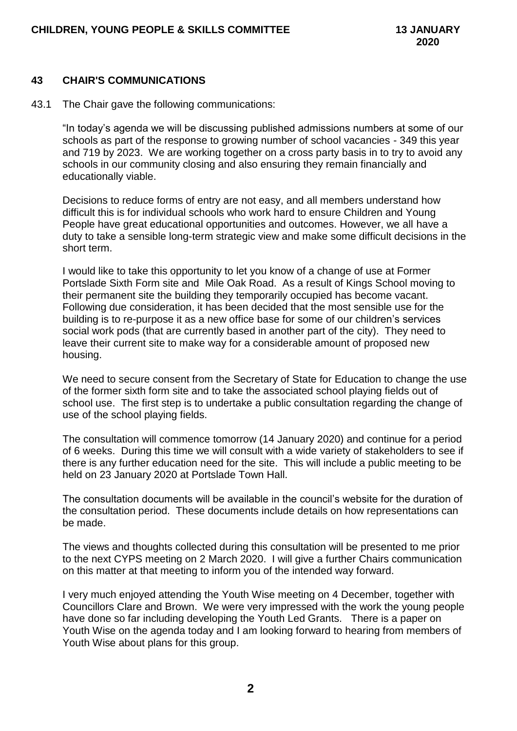#### **43 CHAIR'S COMMUNICATIONS**

43.1 The Chair gave the following communications:

"In today's agenda we will be discussing published admissions numbers at some of our schools as part of the response to growing number of school vacancies - 349 this year and 719 by 2023. We are working together on a cross party basis in to try to avoid any schools in our community closing and also ensuring they remain financially and educationally viable.

Decisions to reduce forms of entry are not easy, and all members understand how difficult this is for individual schools who work hard to ensure Children and Young People have great educational opportunities and outcomes. However, we all have a duty to take a sensible long-term strategic view and make some difficult decisions in the short term.

I would like to take this opportunity to let you know of a change of use at Former Portslade Sixth Form site and Mile Oak Road. As a result of Kings School moving to their permanent site the building they temporarily occupied has become vacant. Following due consideration, it has been decided that the most sensible use for the building is to re-purpose it as a new office base for some of our children's services social work pods (that are currently based in another part of the city). They need to leave their current site to make way for a considerable amount of proposed new housing.

We need to secure consent from the Secretary of State for Education to change the use of the former sixth form site and to take the associated school playing fields out of school use. The first step is to undertake a public consultation regarding the change of use of the school playing fields.

The consultation will commence tomorrow (14 January 2020) and continue for a period of 6 weeks. During this time we will consult with a wide variety of stakeholders to see if there is any further education need for the site. This will include a public meeting to be held on 23 January 2020 at Portslade Town Hall.

The consultation documents will be available in the council's website for the duration of the consultation period. These documents include details on how representations can be made.

The views and thoughts collected during this consultation will be presented to me prior to the next CYPS meeting on 2 March 2020. I will give a further Chairs communication on this matter at that meeting to inform you of the intended way forward.

I very much enjoyed attending the Youth Wise meeting on 4 December, together with Councillors Clare and Brown. We were very impressed with the work the young people have done so far including developing the Youth Led Grants. There is a paper on Youth Wise on the agenda today and I am looking forward to hearing from members of Youth Wise about plans for this group.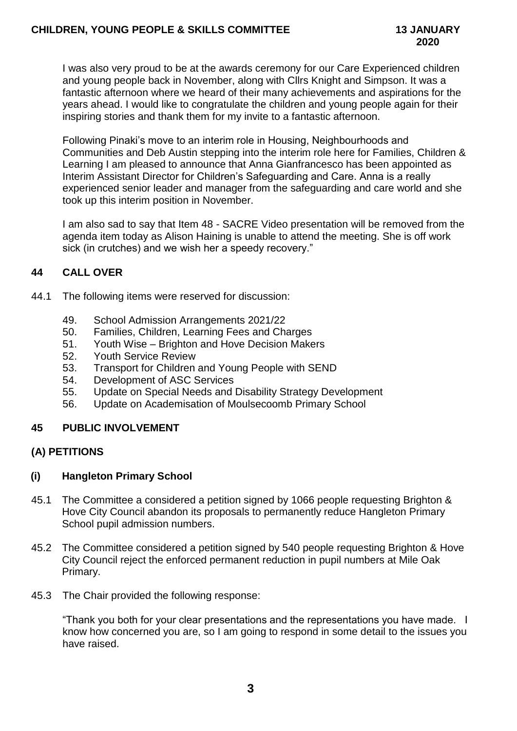I was also very proud to be at the awards ceremony for our Care Experienced children and young people back in November, along with Cllrs Knight and Simpson. It was a fantastic afternoon where we heard of their many achievements and aspirations for the years ahead. I would like to congratulate the children and young people again for their inspiring stories and thank them for my invite to a fantastic afternoon.

Following Pinaki's move to an interim role in Housing, Neighbourhoods and Communities and Deb Austin stepping into the interim role here for Families, Children & Learning I am pleased to announce that Anna Gianfrancesco has been appointed as Interim Assistant Director for Children's Safeguarding and Care. Anna is a really experienced senior leader and manager from the safeguarding and care world and she took up this interim position in November.

I am also sad to say that Item 48 - SACRE Video presentation will be removed from the agenda item today as Alison Haining is unable to attend the meeting. She is off work sick (in crutches) and we wish her a speedy recovery."

# **44 CALL OVER**

- 44.1 The following items were reserved for discussion:
	- 49. School Admission Arrangements 2021/22
	- 50. Families, Children, Learning Fees and Charges
	- 51. Youth Wise Brighton and Hove Decision Makers
	- 52. Youth Service Review
	- 53. Transport for Children and Young People with SEND
	- 54. Development of ASC Services
	- 55. Update on Special Needs and Disability Strategy Development
	- 56. Update on Academisation of Moulsecoomb Primary School

### **45 PUBLIC INVOLVEMENT**

### **(A) PETITIONS**

### **(i) Hangleton Primary School**

- 45.1 The Committee a considered a petition signed by 1066 people requesting Brighton & Hove City Council abandon its proposals to permanently reduce Hangleton Primary School pupil admission numbers.
- 45.2 The Committee considered a petition signed by 540 people requesting Brighton & Hove City Council reject the enforced permanent reduction in pupil numbers at Mile Oak Primary.
- 45.3 The Chair provided the following response:

"Thank you both for your clear presentations and the representations you have made. I know how concerned you are, so I am going to respond in some detail to the issues you have raised.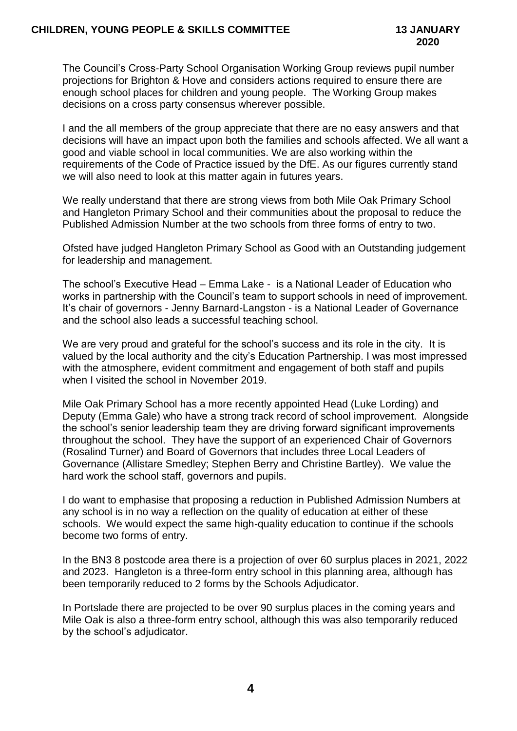The Council's Cross-Party School Organisation Working Group reviews pupil number projections for Brighton & Hove and considers actions required to ensure there are enough school places for children and young people. The Working Group makes decisions on a cross party consensus wherever possible.

I and the all members of the group appreciate that there are no easy answers and that decisions will have an impact upon both the families and schools affected. We all want a good and viable school in local communities. We are also working within the requirements of the Code of Practice issued by the DfE. As our figures currently stand we will also need to look at this matter again in futures years.

We really understand that there are strong views from both Mile Oak Primary School and Hangleton Primary School and their communities about the proposal to reduce the Published Admission Number at the two schools from three forms of entry to two.

Ofsted have judged Hangleton Primary School as Good with an Outstanding judgement for leadership and management.

The school's Executive Head – Emma Lake - is a National Leader of Education who works in partnership with the Council's team to support schools in need of improvement. It's chair of governors - Jenny Barnard-Langston - is a National Leader of Governance and the school also leads a successful teaching school.

We are very proud and grateful for the school's success and its role in the city. It is valued by the local authority and the city's Education Partnership. I was most impressed with the atmosphere, evident commitment and engagement of both staff and pupils when I visited the school in November 2019.

Mile Oak Primary School has a more recently appointed Head (Luke Lording) and Deputy (Emma Gale) who have a strong track record of school improvement. Alongside the school's senior leadership team they are driving forward significant improvements throughout the school. They have the support of an experienced Chair of Governors (Rosalind Turner) and Board of Governors that includes three Local Leaders of Governance (Allistare Smedley; Stephen Berry and Christine Bartley). We value the hard work the school staff, governors and pupils.

I do want to emphasise that proposing a reduction in Published Admission Numbers at any school is in no way a reflection on the quality of education at either of these schools. We would expect the same high-quality education to continue if the schools become two forms of entry.

In the BN3 8 postcode area there is a projection of over 60 surplus places in 2021, 2022 and 2023. Hangleton is a three-form entry school in this planning area, although has been temporarily reduced to 2 forms by the Schools Adjudicator.

In Portslade there are projected to be over 90 surplus places in the coming years and Mile Oak is also a three-form entry school, although this was also temporarily reduced by the school's adjudicator.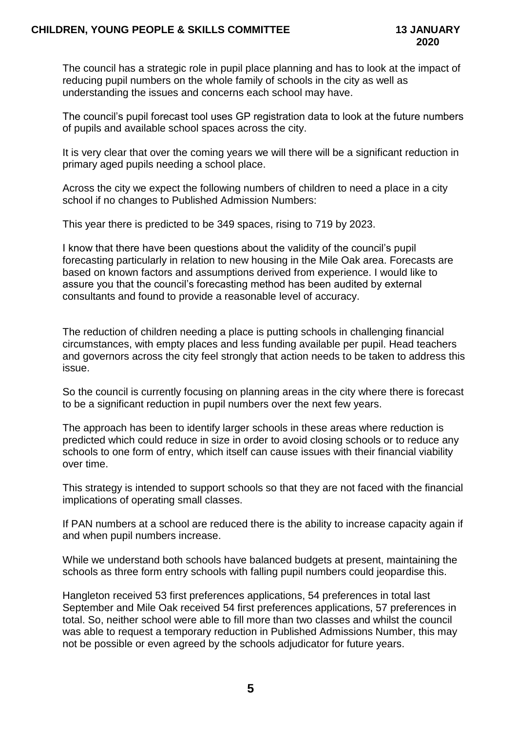### **CHILDREN, YOUNG PEOPLE & SKILLS COMMITTEE 13 JANUARY**

The council has a strategic role in pupil place planning and has to look at the impact of reducing pupil numbers on the whole family of schools in the city as well as understanding the issues and concerns each school may have.

The council's pupil forecast tool uses GP registration data to look at the future numbers of pupils and available school spaces across the city.

It is very clear that over the coming years we will there will be a significant reduction in primary aged pupils needing a school place.

Across the city we expect the following numbers of children to need a place in a city school if no changes to Published Admission Numbers:

This year there is predicted to be 349 spaces, rising to 719 by 2023.

I know that there have been questions about the validity of the council's pupil forecasting particularly in relation to new housing in the Mile Oak area. Forecasts are based on known factors and assumptions derived from experience. I would like to assure you that the council's forecasting method has been audited by external consultants and found to provide a reasonable level of accuracy.

The reduction of children needing a place is putting schools in challenging financial circumstances, with empty places and less funding available per pupil. Head teachers and governors across the city feel strongly that action needs to be taken to address this issue.

So the council is currently focusing on planning areas in the city where there is forecast to be a significant reduction in pupil numbers over the next few years.

The approach has been to identify larger schools in these areas where reduction is predicted which could reduce in size in order to avoid closing schools or to reduce any schools to one form of entry, which itself can cause issues with their financial viability over time.

This strategy is intended to support schools so that they are not faced with the financial implications of operating small classes.

If PAN numbers at a school are reduced there is the ability to increase capacity again if and when pupil numbers increase.

While we understand both schools have balanced budgets at present, maintaining the schools as three form entry schools with falling pupil numbers could jeopardise this.

Hangleton received 53 first preferences applications, 54 preferences in total last September and Mile Oak received 54 first preferences applications, 57 preferences in total. So, neither school were able to fill more than two classes and whilst the council was able to request a temporary reduction in Published Admissions Number, this may not be possible or even agreed by the schools adjudicator for future years.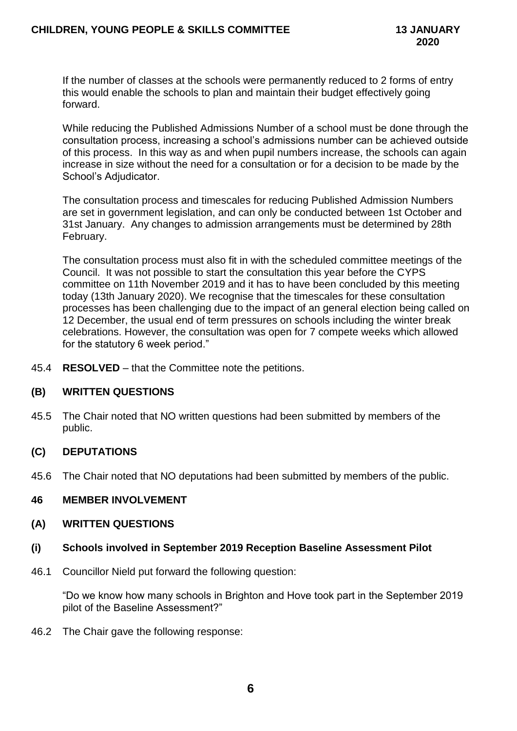If the number of classes at the schools were permanently reduced to 2 forms of entry this would enable the schools to plan and maintain their budget effectively going forward.

While reducing the Published Admissions Number of a school must be done through the consultation process, increasing a school's admissions number can be achieved outside of this process. In this way as and when pupil numbers increase, the schools can again increase in size without the need for a consultation or for a decision to be made by the School's Adjudicator.

The consultation process and timescales for reducing Published Admission Numbers are set in government legislation, and can only be conducted between 1st October and 31st January. Any changes to admission arrangements must be determined by 28th February.

The consultation process must also fit in with the scheduled committee meetings of the Council. It was not possible to start the consultation this year before the CYPS committee on 11th November 2019 and it has to have been concluded by this meeting today (13th January 2020). We recognise that the timescales for these consultation processes has been challenging due to the impact of an general election being called on 12 December, the usual end of term pressures on schools including the winter break celebrations. However, the consultation was open for 7 compete weeks which allowed for the statutory 6 week period."

45.4 **RESOLVED** – that the Committee note the petitions.

### **(B) WRITTEN QUESTIONS**

45.5 The Chair noted that NO written questions had been submitted by members of the public.

### **(C) DEPUTATIONS**

45.6 The Chair noted that NO deputations had been submitted by members of the public.

### **46 MEMBER INVOLVEMENT**

- **(A) WRITTEN QUESTIONS**
- **(i) Schools involved in September 2019 Reception Baseline Assessment Pilot**
- 46.1 Councillor Nield put forward the following question:

"Do we know how many schools in Brighton and Hove took part in the September 2019 pilot of the Baseline Assessment?"

46.2 The Chair gave the following response: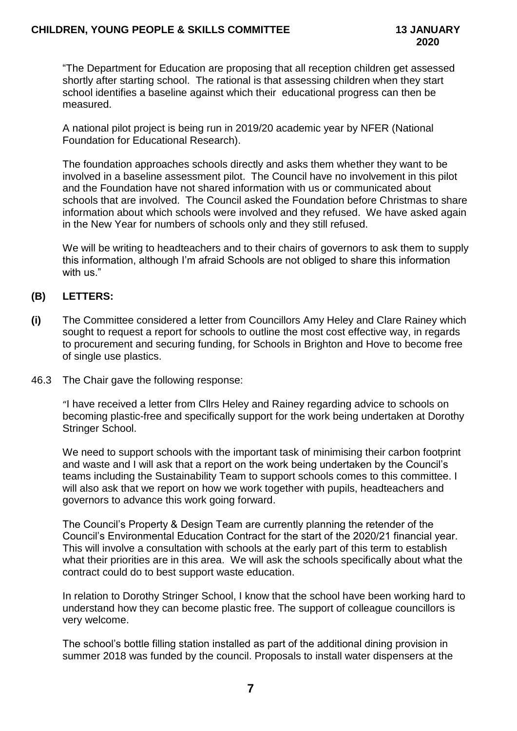"The Department for Education are proposing that all reception children get assessed shortly after starting school. The rational is that assessing children when they start school identifies a baseline against which their educational progress can then be measured.

A national pilot project is being run in 2019/20 academic year by NFER (National Foundation for Educational Research).

The foundation approaches schools directly and asks them whether they want to be involved in a baseline assessment pilot. The Council have no involvement in this pilot and the Foundation have not shared information with us or communicated about schools that are involved. The Council asked the Foundation before Christmas to share information about which schools were involved and they refused. We have asked again in the New Year for numbers of schools only and they still refused.

We will be writing to headteachers and to their chairs of governors to ask them to supply this information, although I'm afraid Schools are not obliged to share this information with us."

# **(B) LETTERS:**

- **(i)** The Committee considered a letter from Councillors Amy Heley and Clare Rainey which sought to request a report for schools to outline the most cost effective way, in regards to procurement and securing funding, for Schools in Brighton and Hove to become free of single use plastics.
- 46.3 The Chair gave the following response:

"I have received a letter from Cllrs Heley and Rainey regarding advice to schools on becoming plastic-free and specifically support for the work being undertaken at Dorothy Stringer School.

We need to support schools with the important task of minimising their carbon footprint and waste and I will ask that a report on the work being undertaken by the Council's teams including the Sustainability Team to support schools comes to this committee. I will also ask that we report on how we work together with pupils, headteachers and governors to advance this work going forward.

The Council's Property & Design Team are currently planning the retender of the Council's Environmental Education Contract for the start of the 2020/21 financial year. This will involve a consultation with schools at the early part of this term to establish what their priorities are in this area. We will ask the schools specifically about what the contract could do to best support waste education.

In relation to Dorothy Stringer School, I know that the school have been working hard to understand how they can become plastic free. The support of colleague councillors is very welcome.

The school's bottle filling station installed as part of the additional dining provision in summer 2018 was funded by the council. Proposals to install water dispensers at the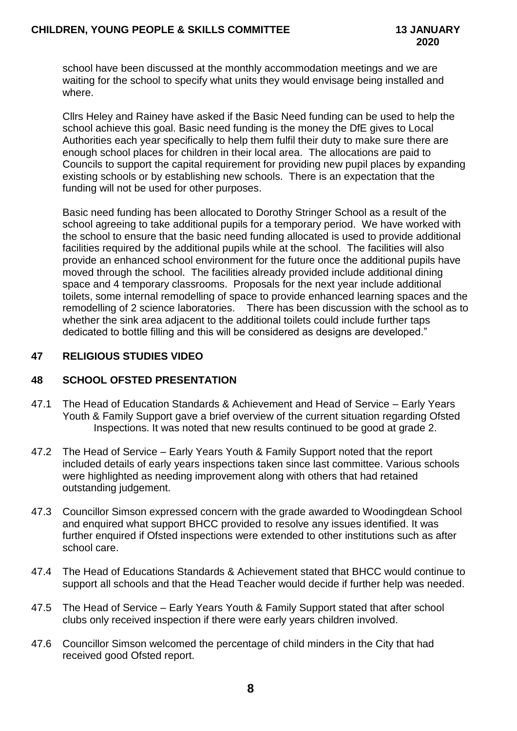school have been discussed at the monthly accommodation meetings and we are waiting for the school to specify what units they would envisage being installed and where.

Cllrs Heley and Rainey have asked if the Basic Need funding can be used to help the school achieve this goal. Basic need funding is the money the DfE gives to Local Authorities each year specifically to help them fulfil their duty to make sure there are enough school places for children in their local area. The allocations are paid to Councils to support the capital requirement for providing new pupil places by expanding existing schools or by establishing new schools. There is an expectation that the funding will not be used for other purposes.

Basic need funding has been allocated to Dorothy Stringer School as a result of the school agreeing to take additional pupils for a temporary period. We have worked with the school to ensure that the basic need funding allocated is used to provide additional facilities required by the additional pupils while at the school. The facilities will also provide an enhanced school environment for the future once the additional pupils have moved through the school. The facilities already provided include additional dining space and 4 temporary classrooms. Proposals for the next year include additional toilets, some internal remodelling of space to provide enhanced learning spaces and the remodelling of 2 science laboratories. There has been discussion with the school as to whether the sink area adjacent to the additional toilets could include further taps dedicated to bottle filling and this will be considered as designs are developed."

## **47 RELIGIOUS STUDIES VIDEO**

# **48 SCHOOL OFSTED PRESENTATION**

- 47.1 The Head of Education Standards & Achievement and Head of Service Early Years Youth & Family Support gave a brief overview of the current situation regarding Ofsted Inspections. It was noted that new results continued to be good at grade 2.
- 47.2 The Head of Service Early Years Youth & Family Support noted that the report included details of early years inspections taken since last committee. Various schools were highlighted as needing improvement along with others that had retained outstanding judgement.
- 47.3 Councillor Simson expressed concern with the grade awarded to Woodingdean School and enquired what support BHCC provided to resolve any issues identified. It was further enquired if Ofsted inspections were extended to other institutions such as after school care.
- 47.4 The Head of Educations Standards & Achievement stated that BHCC would continue to support all schools and that the Head Teacher would decide if further help was needed.
- 47.5 The Head of Service Early Years Youth & Family Support stated that after school clubs only received inspection if there were early years children involved.
- 47.6 Councillor Simson welcomed the percentage of child minders in the City that had received good Ofsted report.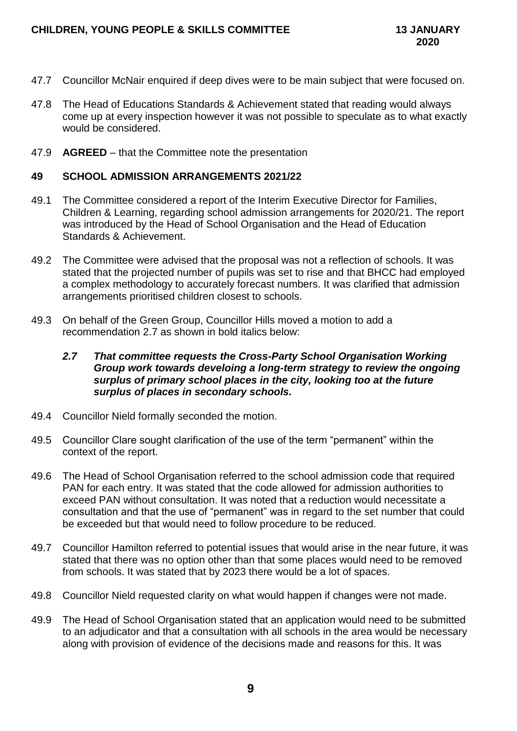- 47.7 Councillor McNair enquired if deep dives were to be main subject that were focused on.
- 47.8 The Head of Educations Standards & Achievement stated that reading would always come up at every inspection however it was not possible to speculate as to what exactly would be considered.
- 47.9 **AGREED** that the Committee note the presentation

### **49 SCHOOL ADMISSION ARRANGEMENTS 2021/22**

- 49.1 The Committee considered a report of the Interim Executive Director for Families, Children & Learning, regarding school admission arrangements for 2020/21. The report was introduced by the Head of School Organisation and the Head of Education Standards & Achievement.
- 49.2 The Committee were advised that the proposal was not a reflection of schools. It was stated that the projected number of pupils was set to rise and that BHCC had employed a complex methodology to accurately forecast numbers. It was clarified that admission arrangements prioritised children closest to schools.
- 49.3 On behalf of the Green Group, Councillor Hills moved a motion to add a recommendation 2.7 as shown in bold italics below:

### *2.7 That committee requests the Cross-Party School Organisation Working Group work towards develoing a long-term strategy to review the ongoing surplus of primary school places in the city, looking too at the future surplus of places in secondary schools.*

- 49.4 Councillor Nield formally seconded the motion.
- 49.5 Councillor Clare sought clarification of the use of the term "permanent" within the context of the report.
- 49.6 The Head of School Organisation referred to the school admission code that required PAN for each entry. It was stated that the code allowed for admission authorities to exceed PAN without consultation. It was noted that a reduction would necessitate a consultation and that the use of "permanent" was in regard to the set number that could be exceeded but that would need to follow procedure to be reduced.
- 49.7 Councillor Hamilton referred to potential issues that would arise in the near future, it was stated that there was no option other than that some places would need to be removed from schools. It was stated that by 2023 there would be a lot of spaces.
- 49.8 Councillor Nield requested clarity on what would happen if changes were not made.
- 49.9 The Head of School Organisation stated that an application would need to be submitted to an adjudicator and that a consultation with all schools in the area would be necessary along with provision of evidence of the decisions made and reasons for this. It was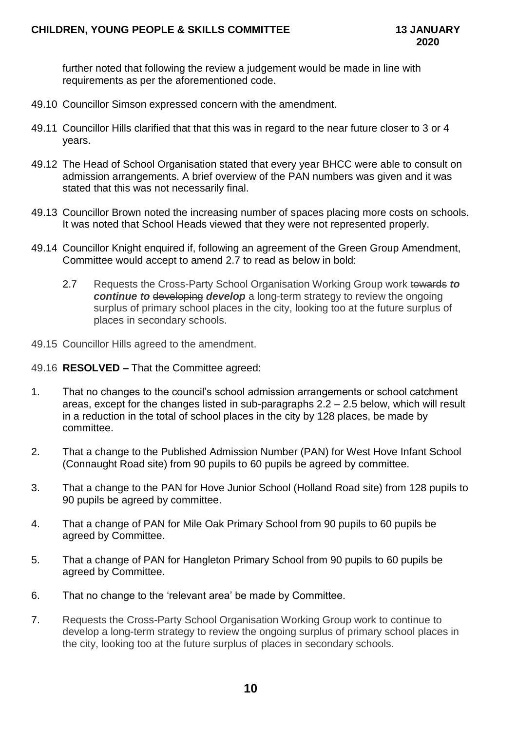further noted that following the review a judgement would be made in line with requirements as per the aforementioned code.

- 49.10 Councillor Simson expressed concern with the amendment.
- 49.11 Councillor Hills clarified that that this was in regard to the near future closer to 3 or 4 years.
- 49.12 The Head of School Organisation stated that every year BHCC were able to consult on admission arrangements. A brief overview of the PAN numbers was given and it was stated that this was not necessarily final.
- 49.13 Councillor Brown noted the increasing number of spaces placing more costs on schools. It was noted that School Heads viewed that they were not represented properly.
- 49.14 Councillor Knight enquired if, following an agreement of the Green Group Amendment, Committee would accept to amend 2.7 to read as below in bold:
	- 2.7 Requests the Cross-Party School Organisation Working Group work towards to *continue to* developing *develop* a long-term strategy to review the ongoing surplus of primary school places in the city, looking too at the future surplus of places in secondary schools.
- 49.15 Councillor Hills agreed to the amendment.
- 49.16 **RESOLVED –** That the Committee agreed:
- 1. That no changes to the council's school admission arrangements or school catchment areas, except for the changes listed in sub-paragraphs 2.2 – 2.5 below, which will result in a reduction in the total of school places in the city by 128 places, be made by committee.
- 2. That a change to the Published Admission Number (PAN) for West Hove Infant School (Connaught Road site) from 90 pupils to 60 pupils be agreed by committee.
- 3. That a change to the PAN for Hove Junior School (Holland Road site) from 128 pupils to 90 pupils be agreed by committee.
- 4. That a change of PAN for Mile Oak Primary School from 90 pupils to 60 pupils be agreed by Committee.
- 5. That a change of PAN for Hangleton Primary School from 90 pupils to 60 pupils be agreed by Committee.
- 6. That no change to the 'relevant area' be made by Committee.
- 7. Requests the Cross-Party School Organisation Working Group work to continue to develop a long-term strategy to review the ongoing surplus of primary school places in the city, looking too at the future surplus of places in secondary schools.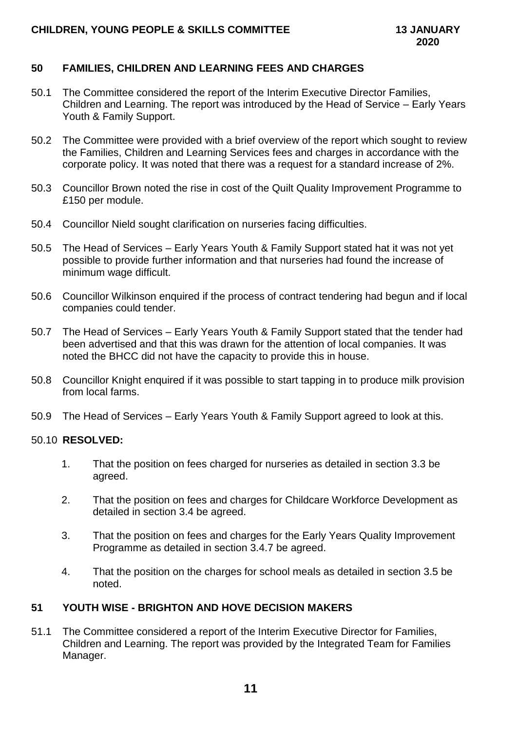## **50 FAMILIES, CHILDREN AND LEARNING FEES AND CHARGES**

- 50.1 The Committee considered the report of the Interim Executive Director Families, Children and Learning. The report was introduced by the Head of Service – Early Years Youth & Family Support.
- 50.2 The Committee were provided with a brief overview of the report which sought to review the Families, Children and Learning Services fees and charges in accordance with the corporate policy. It was noted that there was a request for a standard increase of 2%.
- 50.3 Councillor Brown noted the rise in cost of the Quilt Quality Improvement Programme to £150 per module.
- 50.4 Councillor Nield sought clarification on nurseries facing difficulties.
- 50.5 The Head of Services Early Years Youth & Family Support stated hat it was not yet possible to provide further information and that nurseries had found the increase of minimum wage difficult.
- 50.6 Councillor Wilkinson enquired if the process of contract tendering had begun and if local companies could tender.
- 50.7 The Head of Services Early Years Youth & Family Support stated that the tender had been advertised and that this was drawn for the attention of local companies. It was noted the BHCC did not have the capacity to provide this in house.
- 50.8 Councillor Knight enquired if it was possible to start tapping in to produce milk provision from local farms.
- 50.9 The Head of Services Early Years Youth & Family Support agreed to look at this.

### 50.10 **RESOLVED:**

- 1. That the position on fees charged for nurseries as detailed in section 3.3 be agreed.
- 2. That the position on fees and charges for Childcare Workforce Development as detailed in section 3.4 be agreed.
- 3. That the position on fees and charges for the Early Years Quality Improvement Programme as detailed in section 3.4.7 be agreed.
- 4. That the position on the charges for school meals as detailed in section 3.5 be noted.

### **51 YOUTH WISE - BRIGHTON AND HOVE DECISION MAKERS**

51.1 The Committee considered a report of the Interim Executive Director for Families, Children and Learning. The report was provided by the Integrated Team for Families Manager.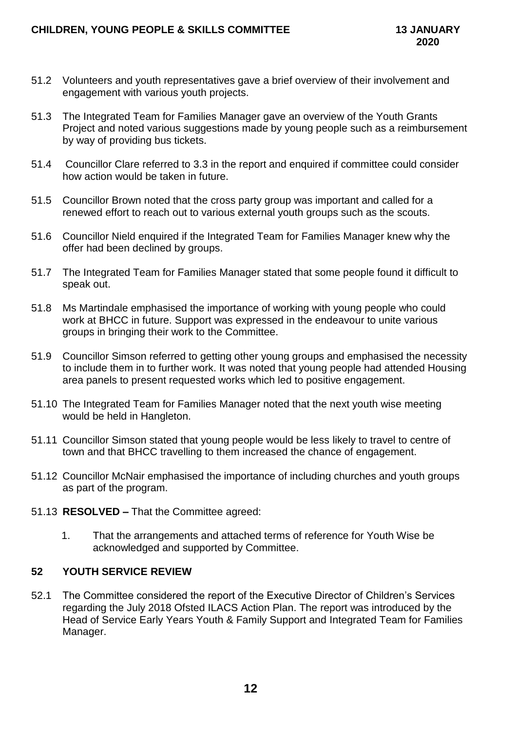- 51.2 Volunteers and youth representatives gave a brief overview of their involvement and engagement with various youth projects.
- 51.3 The Integrated Team for Families Manager gave an overview of the Youth Grants Project and noted various suggestions made by young people such as a reimbursement by way of providing bus tickets.
- 51.4 Councillor Clare referred to 3.3 in the report and enquired if committee could consider how action would be taken in future.
- 51.5 Councillor Brown noted that the cross party group was important and called for a renewed effort to reach out to various external youth groups such as the scouts.
- 51.6 Councillor Nield enquired if the Integrated Team for Families Manager knew why the offer had been declined by groups.
- 51.7 The Integrated Team for Families Manager stated that some people found it difficult to speak out.
- 51.8 Ms Martindale emphasised the importance of working with young people who could work at BHCC in future. Support was expressed in the endeavour to unite various groups in bringing their work to the Committee.
- 51.9 Councillor Simson referred to getting other young groups and emphasised the necessity to include them in to further work. It was noted that young people had attended Housing area panels to present requested works which led to positive engagement.
- 51.10 The Integrated Team for Families Manager noted that the next youth wise meeting would be held in Hangleton.
- 51.11 Councillor Simson stated that young people would be less likely to travel to centre of town and that BHCC travelling to them increased the chance of engagement.
- 51.12 Councillor McNair emphasised the importance of including churches and youth groups as part of the program.
- 51.13 **RESOLVED –** That the Committee agreed:
	- 1. That the arrangements and attached terms of reference for Youth Wise be acknowledged and supported by Committee.

# **52 YOUTH SERVICE REVIEW**

52.1 The Committee considered the report of the Executive Director of Children's Services regarding the July 2018 Ofsted ILACS Action Plan. The report was introduced by the Head of Service Early Years Youth & Family Support and Integrated Team for Families Manager.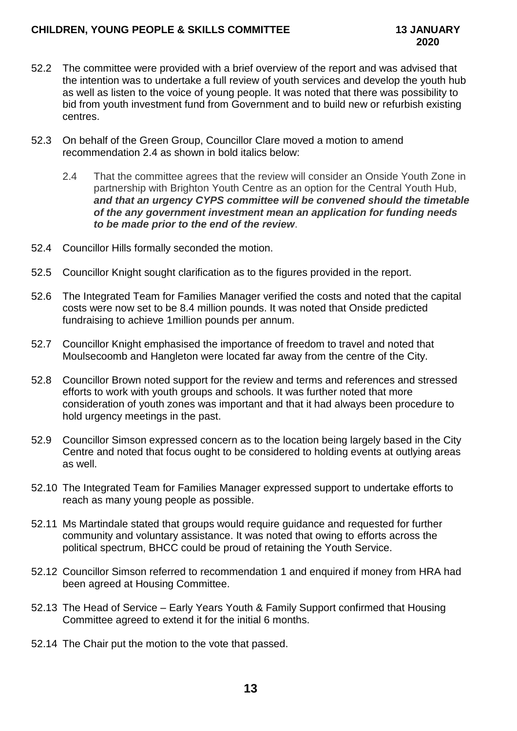- 52.2 The committee were provided with a brief overview of the report and was advised that the intention was to undertake a full review of youth services and develop the youth hub as well as listen to the voice of young people. It was noted that there was possibility to bid from youth investment fund from Government and to build new or refurbish existing centres.
- 52.3 On behalf of the Green Group, Councillor Clare moved a motion to amend recommendation 2.4 as shown in bold italics below:
	- 2.4 That the committee agrees that the review will consider an Onside Youth Zone in partnership with Brighton Youth Centre as an option for the Central Youth Hub, *and that an urgency CYPS committee will be convened should the timetable of the any government investment mean an application for funding needs to be made prior to the end of the review*.
- 52.4 Councillor Hills formally seconded the motion.
- 52.5 Councillor Knight sought clarification as to the figures provided in the report.
- 52.6 The Integrated Team for Families Manager verified the costs and noted that the capital costs were now set to be 8.4 million pounds. It was noted that Onside predicted fundraising to achieve 1million pounds per annum.
- 52.7 Councillor Knight emphasised the importance of freedom to travel and noted that Moulsecoomb and Hangleton were located far away from the centre of the City.
- 52.8 Councillor Brown noted support for the review and terms and references and stressed efforts to work with youth groups and schools. It was further noted that more consideration of youth zones was important and that it had always been procedure to hold urgency meetings in the past.
- 52.9 Councillor Simson expressed concern as to the location being largely based in the City Centre and noted that focus ought to be considered to holding events at outlying areas as well.
- 52.10 The Integrated Team for Families Manager expressed support to undertake efforts to reach as many young people as possible.
- 52.11 Ms Martindale stated that groups would require guidance and requested for further community and voluntary assistance. It was noted that owing to efforts across the political spectrum, BHCC could be proud of retaining the Youth Service.
- 52.12 Councillor Simson referred to recommendation 1 and enquired if money from HRA had been agreed at Housing Committee.
- 52.13 The Head of Service Early Years Youth & Family Support confirmed that Housing Committee agreed to extend it for the initial 6 months.
- 52.14 The Chair put the motion to the vote that passed.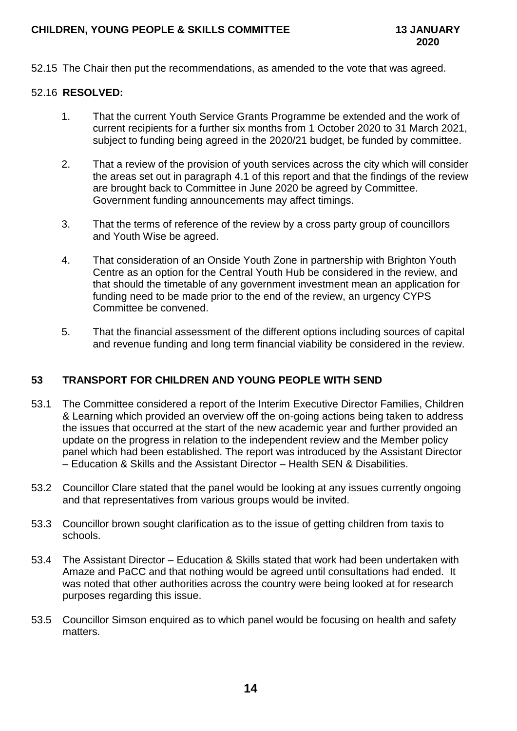## **CHILDREN, YOUNG PEOPLE & SKILLS COMMITTEE 13 JANUARY**

52.15 The Chair then put the recommendations, as amended to the vote that was agreed.

### 52.16 **RESOLVED:**

- 1. That the current Youth Service Grants Programme be extended and the work of current recipients for a further six months from 1 October 2020 to 31 March 2021, subject to funding being agreed in the 2020/21 budget, be funded by committee.
- 2. That a review of the provision of youth services across the city which will consider the areas set out in paragraph 4.1 of this report and that the findings of the review are brought back to Committee in June 2020 be agreed by Committee. Government funding announcements may affect timings.
- 3. That the terms of reference of the review by a cross party group of councillors and Youth Wise be agreed.
- 4. That consideration of an Onside Youth Zone in partnership with Brighton Youth Centre as an option for the Central Youth Hub be considered in the review, and that should the timetable of any government investment mean an application for funding need to be made prior to the end of the review, an urgency CYPS Committee be convened.
- 5. That the financial assessment of the different options including sources of capital and revenue funding and long term financial viability be considered in the review.

# **53 TRANSPORT FOR CHILDREN AND YOUNG PEOPLE WITH SEND**

- 53.1 The Committee considered a report of the Interim Executive Director Families, Children & Learning which provided an overview off the on-going actions being taken to address the issues that occurred at the start of the new academic year and further provided an update on the progress in relation to the independent review and the Member policy panel which had been established. The report was introduced by the Assistant Director – Education & Skills and the Assistant Director – Health SEN & Disabilities.
- 53.2 Councillor Clare stated that the panel would be looking at any issues currently ongoing and that representatives from various groups would be invited.
- 53.3 Councillor brown sought clarification as to the issue of getting children from taxis to schools.
- 53.4 The Assistant Director Education & Skills stated that work had been undertaken with Amaze and PaCC and that nothing would be agreed until consultations had ended. It was noted that other authorities across the country were being looked at for research purposes regarding this issue.
- 53.5 Councillor Simson enquired as to which panel would be focusing on health and safety matters.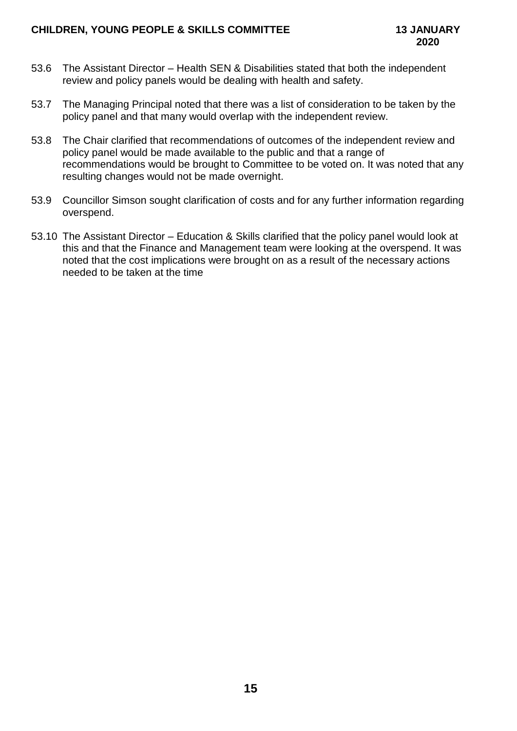- 53.6 The Assistant Director Health SEN & Disabilities stated that both the independent review and policy panels would be dealing with health and safety.
- 53.7 The Managing Principal noted that there was a list of consideration to be taken by the policy panel and that many would overlap with the independent review.
- 53.8 The Chair clarified that recommendations of outcomes of the independent review and policy panel would be made available to the public and that a range of recommendations would be brought to Committee to be voted on. It was noted that any resulting changes would not be made overnight.
- 53.9 Councillor Simson sought clarification of costs and for any further information regarding overspend.
- 53.10 The Assistant Director Education & Skills clarified that the policy panel would look at this and that the Finance and Management team were looking at the overspend. It was noted that the cost implications were brought on as a result of the necessary actions needed to be taken at the time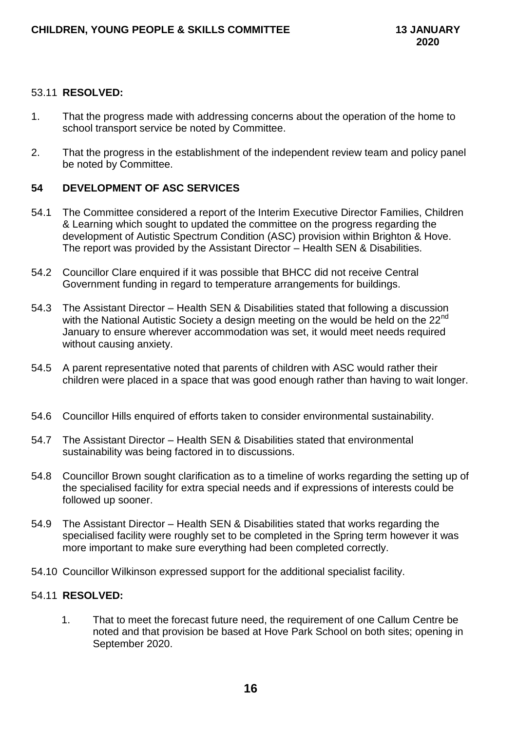## 53.11 **RESOLVED:**

- 1. That the progress made with addressing concerns about the operation of the home to school transport service be noted by Committee.
- 2. That the progress in the establishment of the independent review team and policy panel be noted by Committee.

# **54 DEVELOPMENT OF ASC SERVICES**

- 54.1 The Committee considered a report of the Interim Executive Director Families, Children & Learning which sought to updated the committee on the progress regarding the development of Autistic Spectrum Condition (ASC) provision within Brighton & Hove. The report was provided by the Assistant Director – Health SEN & Disabilities.
- 54.2 Councillor Clare enquired if it was possible that BHCC did not receive Central Government funding in regard to temperature arrangements for buildings.
- 54.3 The Assistant Director Health SEN & Disabilities stated that following a discussion with the National Autistic Society a design meeting on the would be held on the 22<sup>nd</sup> January to ensure wherever accommodation was set, it would meet needs required without causing anxiety.
- 54.5 A parent representative noted that parents of children with ASC would rather their children were placed in a space that was good enough rather than having to wait longer.
- 54.6 Councillor Hills enquired of efforts taken to consider environmental sustainability.
- 54.7 The Assistant Director Health SEN & Disabilities stated that environmental sustainability was being factored in to discussions.
- 54.8 Councillor Brown sought clarification as to a timeline of works regarding the setting up of the specialised facility for extra special needs and if expressions of interests could be followed up sooner.
- 54.9 The Assistant Director Health SEN & Disabilities stated that works regarding the specialised facility were roughly set to be completed in the Spring term however it was more important to make sure everything had been completed correctly.
- 54.10 Councillor Wilkinson expressed support for the additional specialist facility.

### 54.11 **RESOLVED:**

1. That to meet the forecast future need, the requirement of one Callum Centre be noted and that provision be based at Hove Park School on both sites; opening in September 2020.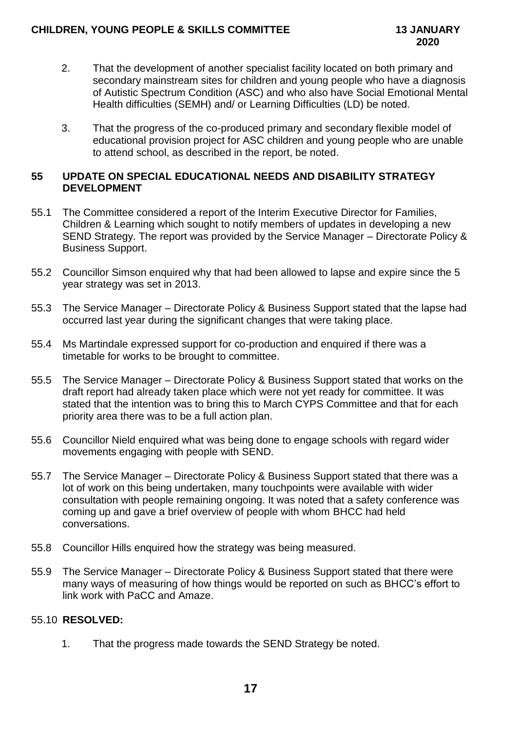- 2. That the development of another specialist facility located on both primary and secondary mainstream sites for children and young people who have a diagnosis of Autistic Spectrum Condition (ASC) and who also have Social Emotional Mental Health difficulties (SEMH) and/ or Learning Difficulties (LD) be noted.
- 3. That the progress of the co-produced primary and secondary flexible model of educational provision project for ASC children and young people who are unable to attend school, as described in the report, be noted.

## **55 UPDATE ON SPECIAL EDUCATIONAL NEEDS AND DISABILITY STRATEGY DEVELOPMENT**

- 55.1 The Committee considered a report of the Interim Executive Director for Families, Children & Learning which sought to notify members of updates in developing a new SEND Strategy. The report was provided by the Service Manager – Directorate Policy & Business Support.
- 55.2 Councillor Simson enquired why that had been allowed to lapse and expire since the 5 year strategy was set in 2013.
- 55.3 The Service Manager Directorate Policy & Business Support stated that the lapse had occurred last year during the significant changes that were taking place.
- 55.4 Ms Martindale expressed support for co-production and enquired if there was a timetable for works to be brought to committee.
- 55.5 The Service Manager Directorate Policy & Business Support stated that works on the draft report had already taken place which were not yet ready for committee. It was stated that the intention was to bring this to March CYPS Committee and that for each priority area there was to be a full action plan.
- 55.6 Councillor Nield enquired what was being done to engage schools with regard wider movements engaging with people with SEND.
- 55.7 The Service Manager Directorate Policy & Business Support stated that there was a lot of work on this being undertaken, many touchpoints were available with wider consultation with people remaining ongoing. It was noted that a safety conference was coming up and gave a brief overview of people with whom BHCC had held conversations.
- 55.8 Councillor Hills enquired how the strategy was being measured.
- 55.9 The Service Manager Directorate Policy & Business Support stated that there were many ways of measuring of how things would be reported on such as BHCC's effort to link work with PaCC and Amaze.

# 55.10 **RESOLVED:**

1. That the progress made towards the SEND Strategy be noted.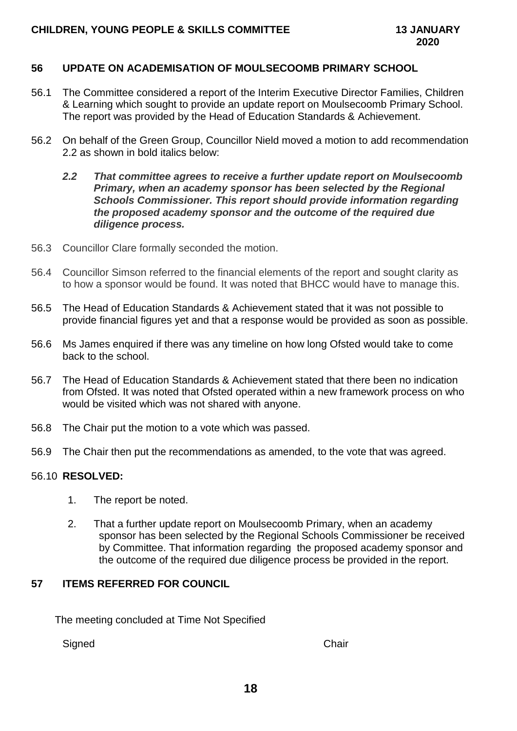#### **56 UPDATE ON ACADEMISATION OF MOULSECOOMB PRIMARY SCHOOL**

- 56.1 The Committee considered a report of the Interim Executive Director Families, Children & Learning which sought to provide an update report on Moulsecoomb Primary School. The report was provided by the Head of Education Standards & Achievement.
- 56.2 On behalf of the Green Group, Councillor Nield moved a motion to add recommendation 2.2 as shown in bold italics below:
	- *2.2 That committee agrees to receive a further update report on Moulsecoomb Primary, when an academy sponsor has been selected by the Regional Schools Commissioner. This report should provide information regarding the proposed academy sponsor and the outcome of the required due diligence process.*
- 56.3 Councillor Clare formally seconded the motion.
- 56.4 Councillor Simson referred to the financial elements of the report and sought clarity as to how a sponsor would be found. It was noted that BHCC would have to manage this.
- 56.5 The Head of Education Standards & Achievement stated that it was not possible to provide financial figures yet and that a response would be provided as soon as possible.
- 56.6 Ms James enquired if there was any timeline on how long Ofsted would take to come back to the school.
- 56.7 The Head of Education Standards & Achievement stated that there been no indication from Ofsted. It was noted that Ofsted operated within a new framework process on who would be visited which was not shared with anyone.
- 56.8 The Chair put the motion to a vote which was passed.
- 56.9 The Chair then put the recommendations as amended, to the vote that was agreed.

#### 56.10 **RESOLVED:**

- 1. The report be noted.
- 2. That a further update report on Moulsecoomb Primary, when an academy sponsor has been selected by the Regional Schools Commissioner be received by Committee. That information regarding the proposed academy sponsor and the outcome of the required due diligence process be provided in the report.

#### **57 ITEMS REFERRED FOR COUNCIL**

The meeting concluded at Time Not Specified

Signed Chair